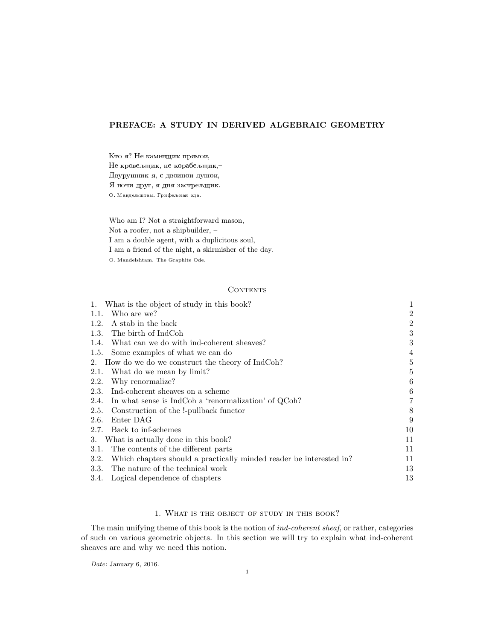# PREFACE: A STUDY IN DERIVED ALGEBRAIC GEOMETRY

Кто я? Не каменщик прямои, Не кровељщик, не корабељщик,-Двурушник я, с двоинои душои, Я ночи друг, я дня застрељщик. O. Мандељштам. Грифељная ода.

Who am I? Not a straightforward mason, Not a roofer, not a shipbuilder, – I am a double agent, with a duplicitous soul, I am a friend of the night, a skirmisher of the day. O. Mandelshtam. The Graphite Ode.

# **CONTENTS**

|      | 1. What is the object of study in this book?                        | 1                |
|------|---------------------------------------------------------------------|------------------|
|      | 1.1. Who are we?                                                    | $\boldsymbol{2}$ |
| 1.2. | A stab in the back                                                  | $\boldsymbol{2}$ |
|      | 1.3. The birth of IndCoh                                            | 3                |
| 1.4. | What can we do with ind-coherent sheaves?                           | 3                |
|      | 1.5. Some examples of what we can do                                | 4                |
|      | 2. How do we do we construct the theory of IndCoh?                  | 5                |
| 2.1. | What do we mean by limit?                                           | 5                |
| 2.2. | Why renormalize?                                                    | 6                |
|      | 2.3. Ind-coherent sheaves on a scheme                               | $\,6$            |
| 2.4. | In what sense is IndCoh a 'renormalization' of QCoh?                | 7                |
| 2.5. | Construction of the !-pullback functor                              | 8                |
| 2.6. | Enter DAG                                                           | 9                |
|      | 2.7. Back to inf-schemes                                            | 10               |
| 3.   | What is actually done in this book?                                 | 11               |
| 3.1. | The contents of the different parts                                 | 11               |
| 3.2. | Which chapters should a practically minded reader be interested in? | 11               |
|      | 3.3. The nature of the technical work                               | 13               |
|      | 3.4. Logical dependence of chapters                                 | 13               |

## 1. What is the object of study in this book?

The main unifying theme of this book is the notion of *ind-coherent sheaf*, or rather, categories of such on various geometric objects. In this section we will try to explain what ind-coherent sheaves are and why we need this notion.

Date: January 6, 2016.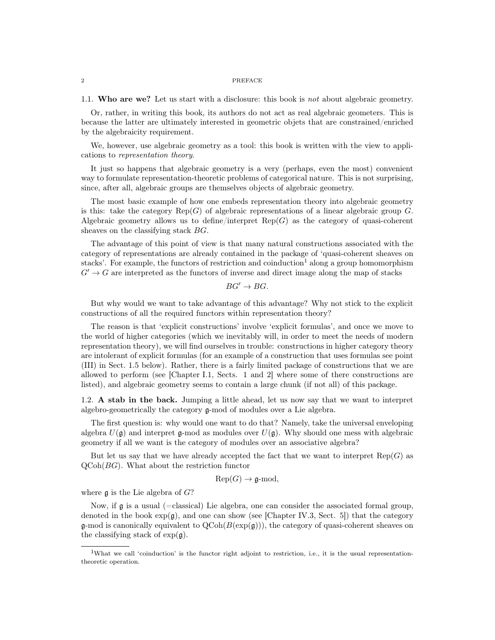1.1. Who are we? Let us start with a disclosure: this book is not about algebraic geometry.

Or, rather, in writing this book, its authors do not act as real algebraic geometers. This is because the latter are ultimately interested in geometric objets that are constrained/enriched by the algebraicity requirement.

We, however, use algebraic geometry as a tool: this book is written with the view to applications to representation theory.

It just so happens that algebraic geometry is a very (perhaps, even the most) convenient way to formulate representation-theoretic problems of categorical nature. This is not surprising, since, after all, algebraic groups are themselves objects of algebraic geometry.

The most basic example of how one embeds representation theory into algebraic geometry is this: take the category  $\text{Rep}(G)$  of algebraic representations of a linear algebraic group G. Algebraic geometry allows us to define/interpret  $\text{Rep}(G)$  as the category of quasi-coherent sheaves on the classifying stack  $BG$ .

The advantage of this point of view is that many natural constructions associated with the category of representations are already contained in the package of 'quasi-coherent sheaves on stacks'. For example, the functors of restriction and coinduction<sup>1</sup> along a group homomorphism  $G' \rightarrow G$  are interpreted as the functors of inverse and direct image along the map of stacks

$$
BG' \to BG.
$$

But why would we want to take advantage of this advantage? Why not stick to the explicit constructions of all the required functors within representation theory?

The reason is that 'explicit constructions' involve 'explicit formulas', and once we move to the world of higher categories (which we inevitably will, in order to meet the needs of modern representation theory), we will find ourselves in trouble: constructions in higher category theory are intolerant of explicit formulas (for an example of a construction that uses formulas see point (III) in Sect. 1.5 below). Rather, there is a fairly limited package of constructions that we are allowed to perform (see [Chapter I.1, Sects. 1 and 2] where some of there constructions are listed), and algebraic geometry seems to contain a large chunk (if not all) of this package.

1.2. A stab in the back. Jumping a little ahead, let us now say that we want to interpret algebro-geometrically the category g-mod of modules over a Lie algebra.

The first question is: why would one want to do that? Namely, take the universal enveloping algebra  $U(\mathfrak{g})$  and interpret  $\mathfrak{g}\text{-mod}$  as modules over  $U(\mathfrak{g})$ . Why should one mess with algebraic geometry if all we want is the category of modules over an associative algebra?

But let us say that we have already accepted the fact that we want to interpret  $\text{Rep}(G)$  as  $QCoh(BG)$ . What about the restriction functor

$$
Rep(G) \to \mathfrak{g}\text{-mod},
$$

where  $\mathfrak g$  is the Lie algebra of  $G$ ?

Now, if g is a usual (=classical) Lie algebra, one can consider the associated formal group, denoted in the book  $\exp(\mathfrak{g})$ , and one can show (see [Chapter IV.3, Sect. 5]) that the category  $\mathfrak{g}\text{-mod}$  is canonically equivalent to  $QCoh(B(\exp(\mathfrak{g})))$ , the category of quasi-coherent sheaves on the classifying stack of  $\exp(\mathfrak{g})$ .

<sup>&</sup>lt;sup>1</sup>What we call 'coinduction' is the functor right adjoint to restriction, i.e., it is the usual representationtheoretic operation.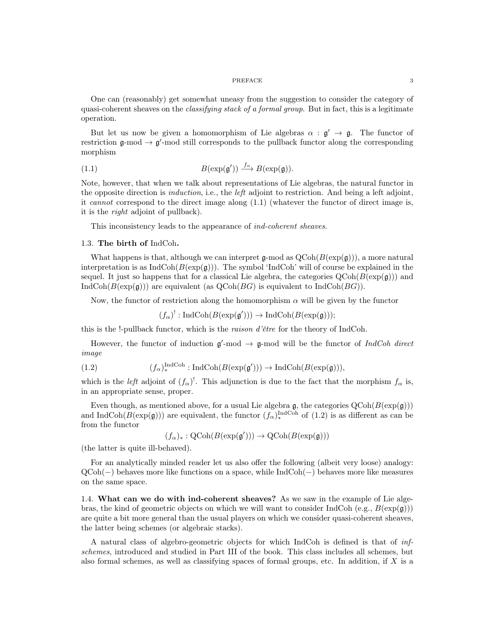#### ${\bf PREFACE} \hspace{2.5cm} {\bf 3}$

One can (reasonably) get somewhat uneasy from the suggestion to consider the category of quasi-coherent sheaves on the *classifying stack of a formal group*. But in fact, this is a legitimate operation.

But let us now be given a homomorphism of Lie algebras  $\alpha : \mathfrak{g}' \to \mathfrak{g}$ . The functor of restriction  $\mathfrak{g}\text{-mod} \to \mathfrak{g}'\text{-mod}$  still corresponds to the pullback functor along the corresponding morphism

(1.1) 
$$
B(\exp(\mathfrak{g}')) \xrightarrow{f_{\alpha}} B(\exp(\mathfrak{g})).
$$

Note, however, that when we talk about representations of Lie algebras, the natural functor in the opposite direction is induction, i.e., the left adjoint to restriction. And being a left adjoint, it cannot correspond to the direct image along (1.1) (whatever the functor of direct image is, it is the right adjoint of pullback).

This inconsistency leads to the appearance of ind-coherent sheaves.

## 1.3. The birth of IndCoh.

What happens is that, although we can interpret g-mod as  $QCoh(B(\exp(g)))$ , a more natural interpretation is as  $IndCoh(B(exp(g)))$ . The symbol 'IndCoh' will of course be explained in the sequel. It just so happens that for a classical Lie algebra, the categories  $Q\text{Coh}(B(\exp(\mathfrak{g})))$  and  $IndCoh(B(\exp(g)))$  are equivalent (as  $QCoh(BG)$  is equivalent to  $IndCoh(BG))$ .

Now, the functor of restriction along the homomorphism  $\alpha$  will be given by the functor

$$
(f_{\alpha})^!: \text{IndCoh}(B(\exp(\mathfrak{g}'))) \to \text{IndCoh}(B(\exp(\mathfrak{g}))),
$$

this is the !-pullback functor, which is the raison d'être for the theory of IndCoh.

However, the functor of induction  $\mathfrak{g}'$ -mod  $\rightarrow$  g-mod will be the functor of IndCoh direct image

(1.2) 
$$
(f_{\alpha})_{*}^{\text{IndCoh}}:\text{IndCoh}(B(\exp(\mathfrak{g}')))\to\text{IndCoh}(B(\exp(\mathfrak{g}))),
$$

which is the *left* adjoint of  $(f_\alpha)^!$ . This adjunction is due to the fact that the morphism  $f_\alpha$  is, in an appropriate sense, proper.

Even though, as mentioned above, for a usual Lie algebra g, the categories  $Q\text{Coh}(B(\exp(g)))$ and IndCoh( $B(\exp(\mathfrak{g}))$ ) are equivalent, the functor  $(f_{\alpha})_*^{\text{IndCoh}}$  of  $(1.2)$  is as different as can be from the functor

 $(f_{\alpha})_* : \mathrm{QCoh}(B(\exp(\mathfrak{g}'))) \to \mathrm{QCoh}(B(\exp(\mathfrak{g})))$ 

(the latter is quite ill-behaved).

For an analytically minded reader let us also offer the following (albeit very loose) analogy: QCoh(−) behaves more like functions on a space, while IndCoh(−) behaves more like measures on the same space.

1.4. What can we do with ind-coherent sheaves? As we saw in the example of Lie algebras, the kind of geometric objects on which we will want to consider IndCoh (e.g.,  $B(\exp(\mathfrak{g}))$ ) are quite a bit more general than the usual players on which we consider quasi-coherent sheaves, the latter being schemes (or algebraic stacks).

A natural class of algebro-geometric objects for which IndCoh is defined is that of infschemes, introduced and studied in Part III of the book. This class includes all schemes, but also formal schemes, as well as classifying spaces of formal groups, etc. In addition, if  $X$  is a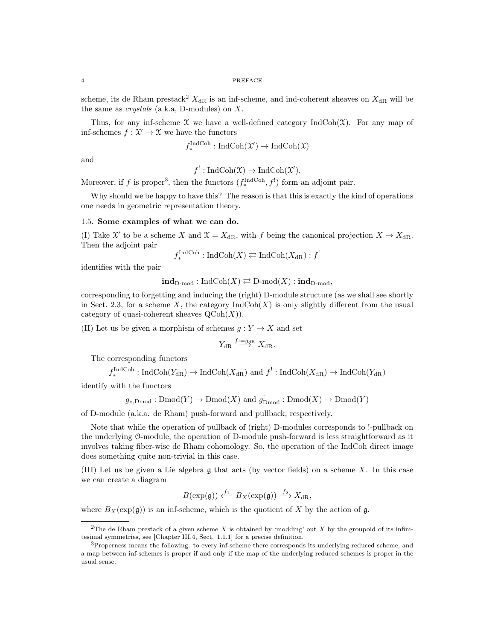scheme, its de Rham prestack<sup>2</sup>  $X_{\text{dR}}$  is an inf-scheme, and ind-coherent sheaves on  $X_{\text{dR}}$  will be the same as *crystals* (a.k.a, D-modules) on  $X$ .

Thus, for any inf-scheme  $\mathfrak X$  we have a well-defined category IndCoh( $\mathfrak X$ ). For any map of inf-schemes  $f: \mathcal{X}' \to \mathcal{X}$  we have the functors

$$
f_*^{\text{IndCoh}} : \text{IndCoh}(\mathfrak{X}') \to \text{IndCoh}(\mathfrak{X})
$$

and

 $f' : \text{IndCoh}(\mathfrak{X}) \to \text{IndCoh}(\mathfrak{X}').$ 

Moreover, if f is proper<sup>3</sup>, then the functors  $(f_*^{\text{IndCoh}}, f')$  form an adjoint pair.

Why should we be happy to have this? The reason is that this is exactly the kind of operations one needs in geometric representation theory.

## 1.5. Some examples of what we can do.

(I) Take  $\mathfrak{X}'$  to be a scheme X and  $\mathfrak{X} = X_{\text{dR}}$ , with f being the canonical projection  $X \to X_{\text{dR}}$ . Then the adjoint pair !

$$
f_*^{\text{IndCoh}} : \text{IndCoh}(X) \rightleftarrows \text{IndCoh}(X_{\text{dR}}) : f
$$

identifies with the pair

 $\text{ind}_{D\text{-mod}} : \text{IndCoh}(X) \rightleftarrows D\text{-mod}(X) : \text{ind}_{D\text{-mod}},$ 

corresponding to forgetting and inducing the (right) D-module structure (as we shall see shortly in Sect. 2.3, for a scheme X, the category  $\text{IndCoh}(X)$  is only slightly different from the usual category of quasi-coherent sheaves  $\mathrm{QCoh}(X)$ .

(II) Let us be given a morphism of schemes  $g: Y \to X$  and set

$$
Y_{\mathrm{dR}} \stackrel{f:=g_{\mathrm{dR}}}{\longrightarrow} X_{\mathrm{dR}}.
$$

The corresponding functors

$$
f_*^{\text{IndCoh}} : \text{IndCoh}(Y_{\text{dR}}) \to \text{IndCoh}(X_{\text{dR}}) \text{ and } f^!: \text{IndCoh}(X_{\text{dR}}) \to \text{IndCoh}(Y_{\text{dR}})
$$

identify with the functors

$$
g_{*,\text{Dmod}}: \text{Dmod}(Y) \to \text{Dmod}(X)
$$
 and  $g_{\text{Dmod}}^!$ :  $\text{Dmod}(X) \to \text{Dmod}(Y)$ 

of D-module (a.k.a. de Rham) push-forward and pullback, respectively.

Note that while the operation of pullback of (right) D-modules corresponds to !-pullback on the underlying O-module, the operation of D-module push-forward is less straightforward as it involves taking fiber-wise de Rham cohomology. So, the operation of the IndCoh direct image does something quite non-trivial in this case.

(III) Let us be given a Lie algebra g that acts (by vector fields) on a scheme X. In this case we can create a diagram

$$
B(\exp(\mathfrak{g})) \xleftarrow{f_1} B_X(\exp(\mathfrak{g})) \xrightarrow{f_2} X_{\mathrm{dR}},
$$

where  $B_X(\exp(\mathfrak{g}))$  is an inf-scheme, which is the quotient of X by the action of g.

<sup>&</sup>lt;sup>2</sup>The de Rham prestack of a given scheme X is obtained by 'modding' out X by the groupoid of its infinitesimal symmetries, see [Chapter III.4, Sect. 1.1.1] for a precise definition.

<sup>3</sup>Properness means the following: to every inf-scheme there corresponds its underlying reduced scheme, and a map between inf-schemes is proper if and only if the map of the underlying reduced schemes is proper in the usual sense.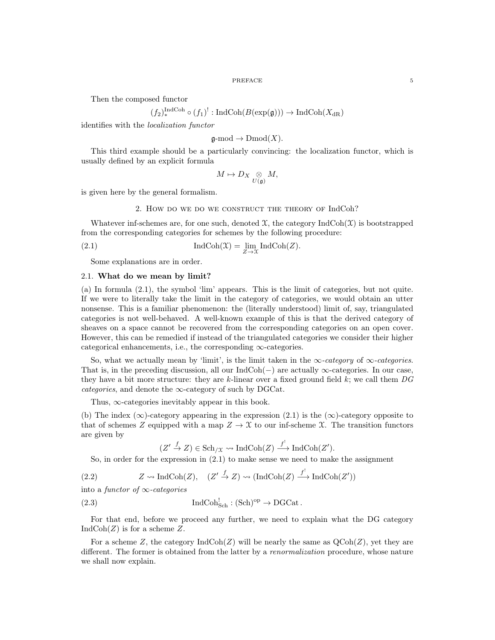Then the composed functor

$$
(f_2)^{\text{IndCoh}}_* \circ (f_1)^!: \text{IndCoh}(B(\exp(\mathfrak{g}))) \to \text{IndCoh}(X_{\text{dR}})
$$

identifies with the localization functor

$$
\mathfrak{g}\text{-mod} \to \mathrm{Dmod}(X).
$$

This third example should be a particularly convincing: the localization functor, which is usually defined by an explicit formula

$$
M\mapsto D_X\underset{U(\mathfrak{g})}{\otimes}M,
$$

is given here by the general formalism.

## 2. How do we do we construct the theory of IndCoh?

Whatever inf-schemes are, for one such, denoted  $\mathfrak{X}$ , the category IndCoh( $\mathfrak{X}$ ) is bootstrapped from the corresponding categories for schemes by the following procedure:

(2.1) 
$$
\operatorname{IndCoh}(\mathfrak{X}) = \lim_{Z \to \mathfrak{X}} \operatorname{IndCoh}(Z).
$$

Some explanations are in order.

## 2.1. What do we mean by limit?

(a) In formula (2.1), the symbol 'lim' appears. This is the limit of categories, but not quite. If we were to literally take the limit in the category of categories, we would obtain an utter nonsense. This is a familiar phenomenon: the (literally understood) limit of, say, triangulated categories is not well-behaved. A well-known example of this is that the derived category of sheaves on a space cannot be recovered from the corresponding categories on an open cover. However, this can be remedied if instead of the triangulated categories we consider their higher categorical enhancements, i.e., the corresponding  $\infty$ -categories.

So, what we actually mean by 'limit', is the limit taken in the  $\infty$ -category of  $\infty$ -categories. That is, in the preceding discussion, all our  $IndCoh(-)$  are actually  $\infty$ -categories. In our case, they have a bit more structure: they are k-linear over a fixed ground field  $k$ ; we call them  $DG$ categories, and denote the  $\infty$ -category of such by DGCat.

Thus,  $\infty$ -categories inevitably appear in this book.

(b) The index (∞)-category appearing in the expression (2.1) is the  $(\infty)$ -category opposite to that of schemes Z equipped with a map  $Z \to \mathfrak{X}$  to our inf-scheme X. The transition functors are given by

$$
(Z' \xrightarrow{f} Z) \in \mathrm{Sch}_{/\mathfrak{X}} \leadsto \mathrm{IndCoh}(Z) \xrightarrow{f^!} \mathrm{IndCoh}(Z').
$$

So, in order for the expression in (2.1) to make sense we need to make the assignment

(2.2) 
$$
Z \rightsquigarrow \text{IndCoh}(Z), \quad (Z' \stackrel{f}{\rightarrow} Z) \rightsquigarrow (\text{IndCoh}(Z) \stackrel{f'}{\longrightarrow} \text{IndCoh}(Z'))
$$

into a functor of  $\infty$ -categories

(2.3) 
$$
\operatorname{IndCoh}_{\operatorname{Sch}}^! : (\operatorname{Sch})^{\operatorname{op}} \to \operatorname{DGCat}.
$$

For that end, before we proceed any further, we need to explain what the DG category  $IndCoh(Z)$  is for a scheme Z.

For a scheme Z, the category  $\text{IndCoh}(Z)$  will be nearly the same as  $\text{QCoh}(Z)$ , yet they are different. The former is obtained from the latter by a *renormalization* procedure, whose nature we shall now explain.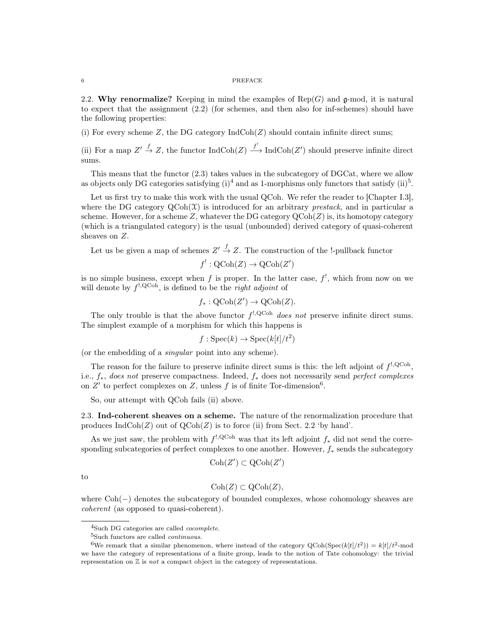2.2. Why renormalize? Keeping in mind the examples of  $\text{Rep}(G)$  and  $\mathfrak{g}\text{-mod}$ , it is natural to expect that the assignment (2.2) (for schemes, and then also for inf-schemes) should have the following properties:

(i) For every scheme  $Z$ , the DG category  $IndCoh(Z)$  should contain infinite direct sums;

(ii) For a map  $Z' \stackrel{f}{\to} Z$ , the functor  $\text{IndCoh}(Z) \stackrel{f'}{\longrightarrow} \text{IndCoh}(Z')$  should preserve infinite direct sums.

This means that the functor (2.3) takes values in the subcategory of DGCat, where we allow as objects only DG categories satisfying  $(i)^4$  and as 1-morphisms only functors that satisfy  $(ii)^5$ .

Let us first try to make this work with the usual QCoh. We refer the reader to [Chapter I.3], where the DG category  $QCoh(\mathcal{X})$  is introduced for an arbitrary *prestack*, and in particular a scheme. However, for a scheme  $Z$ , whatever the DG category  $\mathrm{QCoh}(Z)$  is, its homotopy category (which is a triangulated category) is the usual (unbounded) derived category of quasi-coherent sheaves on Z.

Let us be given a map of schemes  $Z' \stackrel{f}{\rightarrow} Z$ . The construction of the !-pullback functor

$$
f^!: \mathrm{QCoh}(Z) \to \mathrm{QCoh}(Z')
$$

is no simple business, except when f is proper. In the latter case,  $f^!$ , which from now on we will denote by  $f^{!,\text{QCoh}}$ , is defined to be the *right adjoint* of

$$
f_*: \mathrm{QCoh}(Z') \to \mathrm{QCoh}(Z).
$$

The only trouble is that the above functor  $f^{!,\text{QCoh}}$  does not preserve infinite direct sums. The simplest example of a morphism for which this happens is

 $f : \text{Spec}(k) \to \text{Spec}(k[t]/t^2)$ 

(or the embedding of a singular point into any scheme).

The reason for the failure to preserve infinite direct sums is this: the left adjoint of  $f^{!,\text{QCoh}}$ , i.e., f∗, does not preserve compactness. Indeed, f<sup>∗</sup> does not necessarily send perfect complexes on  $Z'$  to perfect complexes on  $Z$ , unless f is of finite Tor-dimension<sup>6</sup>.

So, our attempt with QCoh fails (ii) above.

2.3. Ind-coherent sheaves on a scheme. The nature of the renormalization procedure that produces  $IndCoh(Z)$  out of  $QCoh(Z)$  is to force (ii) from Sect. 2.2 'by hand'.

As we just saw, the problem with  $f^{!,\text{QCoh}}$  was that its left adjoint  $f_*$  did not send the corresponding subcategories of perfect complexes to one another. However,  $f_*$  sends the subcategory

$$
\mathrm{Coh}(Z') \subset \mathrm{QCoh}(Z')
$$

to

$$
Coh(Z) \subset QCoh(Z),
$$

where Coh(−) denotes the subcategory of bounded complexes, whose cohomology sheaves are coherent (as opposed to quasi-coherent).

<sup>4</sup>Such DG categories are called cocomplete.

 ${}^{5}{\rm Such}$  functors are called  $continuous.$ 

<sup>&</sup>lt;sup>6</sup>We remark that a similar phenomenon, where instead of the category QCoh(Spec(k[t]/t<sup>2</sup>)) = k[t]/t<sup>2</sup>-mod we have the category of representations of a finite group, leads to the notion of Tate cohomology: the trivial representation on  $\mathbb Z$  is *not* a compact object in the category of representations.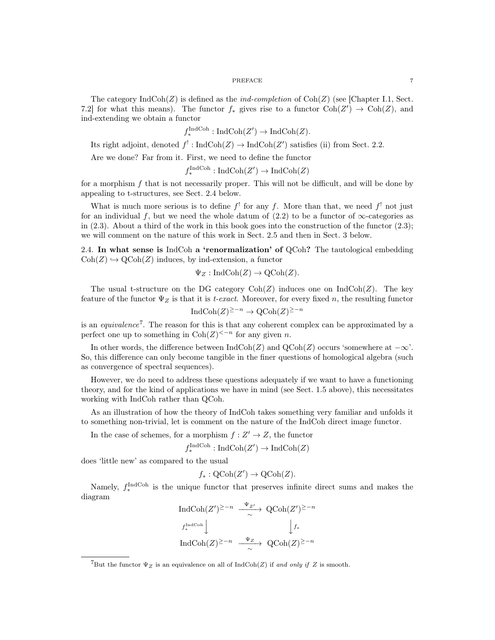The category  $\text{IndCoh}(Z)$  is defined as the *ind-completion* of  $\text{Coh}(Z)$  (see [Chapter I.1, Sect. 7.2] for what this means). The functor  $f_*$  gives rise to a functor  $\text{Coh}(Z') \to \text{Coh}(Z)$ , and ind-extending we obtain a functor

$$
f^{\text{IndCoh}}_{*}: \text{IndCoh}(Z') \to \text{IndCoh}(Z).
$$

Its right adjoint, denoted  $f' : \text{IndCoh}(Z) \to \text{IndCoh}(Z')$  satisfies (ii) from Sect. 2.2.

Are we done? Far from it. First, we need to define the functor

$$
f_*^{\text{IndCoh}} : \text{IndCoh}(Z') \to \text{IndCoh}(Z)
$$

for a morphism  $f$  that is not necessarily proper. This will not be difficult, and will be done by appealing to t-structures, see Sect. 2.4 below.

What is much more serious is to define  $f^!$  for any f. More than that, we need  $f^!$  not just for an individual f, but we need the whole datum of  $(2.2)$  to be a functor of  $\infty$ -categories as in  $(2.3)$ . About a third of the work in this book goes into the construction of the functor  $(2.3)$ ; we will comment on the nature of this work in Sect. 2.5 and then in Sect. 3 below.

2.4. In what sense is IndCoh a 'renormalization' of QCoh? The tautological embedding  $\text{Coh}(Z) \hookrightarrow \text{QCoh}(Z)$  induces, by ind-extension, a functor

$$
\Psi_Z: \mathrm{IndCoh}(Z) \to \mathrm{QCoh}(Z).
$$

The usual t-structure on the DG category  $\text{Coh}(Z)$  induces one on  $\text{IndCoh}(Z)$ . The key feature of the functor  $\Psi_Z$  is that it is t-exact. Moreover, for every fixed n, the resulting functor

$$
IndCoh(Z)^{\geq -n} \to \mathrm{QCoh}(Z)^{\geq -n}
$$

is an *equivalence*<sup>7</sup>. The reason for this is that any coherent complex can be approximated by a perfect one up to something in  $\text{Coh}(Z)^{<-n}$  for any given n.

In other words, the difference between  $\text{IndCoh}(Z)$  and  $\text{QCoh}(Z)$  occurs 'somewhere at  $-\infty$ '. So, this difference can only become tangible in the finer questions of homological algebra (such as convergence of spectral sequences).

However, we do need to address these questions adequately if we want to have a functioning theory, and for the kind of applications we have in mind (see Sect. 1.5 above), this necessitates working with IndCoh rather than QCoh.

As an illustration of how the theory of IndCoh takes something very familiar and unfolds it to something non-trivial, let is comment on the nature of the IndCoh direct image functor.

In the case of schemes, for a morphism  $f: Z' \to Z$ , the functor

$$
f_*^{\text{IndCoh}} : \text{IndCoh}(Z') \to \text{IndCoh}(Z)
$$

does 'little new' as compared to the usual

$$
f_*: \mathrm{QCoh}(Z') \to \mathrm{QCoh}(Z).
$$

Namely,  $f_{*}^{\text{IndCoh}}$  is the unique functor that preserves infinite direct sums and makes the diagram  $\Psi - i$ 

$$
\text{Ind}\text{Coh}(Z')^{\geq -n} \xrightarrow{\Psi_{Z'}} \text{QCoh}(Z')^{\geq -n}
$$
  

$$
f_*^{\text{Ind}\text{Coh}} \downarrow \qquad \qquad \downarrow f_*
$$
  

$$
\text{Ind}\text{Coh}(Z)^{\geq -n} \xrightarrow{\Psi_Z} \text{QCoh}(Z)^{\geq -n}
$$

<sup>&</sup>lt;sup>7</sup>But the functor  $\Psi_Z$  is an equivalence on all of IndCoh(Z) if and only if Z is smooth.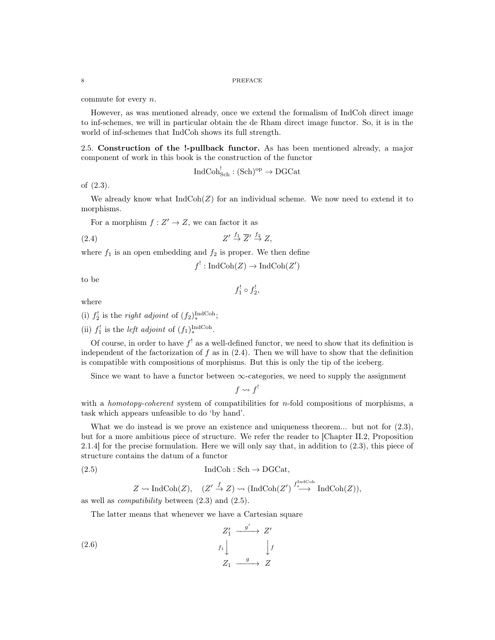commute for every n.

However, as was mentioned already, once we extend the formalism of IndCoh direct image to inf-schemes, we will in particular obtain the de Rham direct image functor. So, it is in the world of inf-schemes that IndCoh shows its full strength.

2.5. Construction of the !-pullback functor. As has been mentioned already, a major component of work in this book is the construction of the functor

$$
\operatorname{IndCoh}^!_{\operatorname{Sch}}: (\operatorname{Sch})^{\operatorname{op}} \to \operatorname{DGCat}
$$

of (2.3).

We already know what  $IndCoh(Z)$  for an individual scheme. We now need to extend it to morphisms.

For a morphism  $f: Z' \to Z$ , we can factor it as

$$
(2.4) \t\t Z' \stackrel{f_1}{\to} \overline{Z}' \stackrel{f_2}{\to} Z,
$$

where  $f_1$  is an open embedding and  $f_2$  is proper. We then define

 $f^!: \text{IndCoh}(Z) \to \text{IndCoh}(Z')$ 

 $f_1^! \circ f_2^!$ 

to be

where

- (i)  $f_2^!$  is the *right adjoint* of  $(f_2)_*^{\text{IndCoh}}$ ;
- (ii)  $f_1^!$  is the *left adjoint* of  $(f_1)_*^{\text{IndCoh}}$ .

Of course, in order to have  $f^!$  as a well-defined functor, we need to show that its definition is independent of the factorization of  $f$  as in  $(2.4)$ . Then we will have to show that the definition is compatible with compositions of morphisms. But this is only the tip of the iceberg.

Since we want to have a functor between  $\infty$ -categories, we need to supply the assignment

 $f \rightsquigarrow f'$ 

with a *homotopy-coherent* system of compatibilities for  $n$ -fold compositions of morphisms, a task which appears unfeasible to do 'by hand'.

What we do instead is we prove an existence and uniqueness theorem... but not for  $(2.3)$ , but for a more ambitious piece of structure. We refer the reader to [Chapter II.2, Proposition 2.1.4] for the precise formulation. Here we will only say that, in addition to (2.3), this piece of structure contains the datum of a functor

(2.5) IndCoh : Sch → DGCat,

$$
Z \rightsquigarrow \text{IndCoh}(Z), \quad (Z' \stackrel{f}{\rightarrow} Z) \rightsquigarrow (\text{IndCoh}(Z') \stackrel{f^{\text{IndCoh}}_{*}}{\longrightarrow} \text{IndCoh}(Z)),
$$

as well as compatibility between (2.3) and (2.5).

The latter means that whenever we have a Cartesian square

$$
Z_1' \xrightarrow{g'} Z'
$$
  
(2.6)  
 $f_1 \downarrow \qquad \qquad f f$   
 $Z_1 \xrightarrow{g} Z$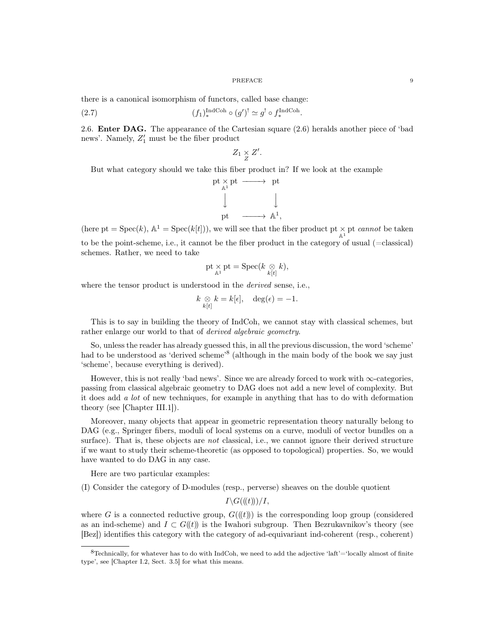there is a canonical isomorphism of functors, called base change:

(2.7) 
$$
(f_1)_*^{\text{IndCoh}} \circ (g')^! \simeq g^! \circ f_*^{\text{IndCoh}}.
$$

2.6. Enter DAG. The appearance of the Cartesian square (2.6) heralds another piece of 'bad news'. Namely,  $Z'_1$  must be the fiber product

$$
Z_1 \underset{Z}{\times} Z'.
$$

But what category should we take this fiber product in? If we look at the example

$$
\begin{array}{ccc}\npt \rightarrow & pt & \longrightarrow & pt \\
\downarrow & & \downarrow & \\
pt & \longrightarrow & \mathbb{A}^1,\n\end{array}
$$

(here pt = Spec(k),  $\mathbb{A}^1$  = Spec(k[t])), we will see that the fiber product pt  $\times$  pt cannot be taken to be the point-scheme, i.e., it cannot be the fiber product in the category of usual (=classical) schemes. Rather, we need to take

$$
\mathrm{pt} \underset{\mathbb{A}^1}{\times} \mathrm{pt} = \mathrm{Spec}(k \underset{k[t]}{\otimes} k),
$$

where the tensor product is understood in the *derived* sense, i.e.,

$$
k \underset{k[t]}{\otimes} k = k[\epsilon], \quad \deg(\epsilon) = -1.
$$

This is to say in building the theory of IndCoh, we cannot stay with classical schemes, but rather enlarge our world to that of *derived algebraic geometry*.

So, unless the reader has already guessed this, in all the previous discussion, the word 'scheme' had to be understood as 'derived scheme'<sup>8</sup> (although in the main body of the book we say just 'scheme', because everything is derived).

However, this is not really 'bad news'. Since we are already forced to work with  $\infty$ -categories, passing from classical algebraic geometry to DAG does not add a new level of complexity. But it does add a lot of new techniques, for example in anything that has to do with deformation theory (see [Chapter III.1]).

Moreover, many objects that appear in geometric representation theory naturally belong to DAG (e.g., Springer fibers, moduli of local systems on a curve, moduli of vector bundles on a surface). That is, these objects are *not* classical, i.e., we cannot ignore their derived structure if we want to study their scheme-theoretic (as opposed to topological) properties. So, we would have wanted to do DAG in any case.

Here are two particular examples:

(I) Consider the category of D-modules (resp., perverse) sheaves on the double quotient

 $I\backslash G((t)))/I$ ,

where G is a connected reductive group,  $G((t))$  is the corresponding loop group (considered as an ind-scheme) and  $I \subset G(\mathfrak{t})$  is the Iwahori subgroup. Then Bezrukavnikov's theory (see [Bez]) identifies this category with the category of ad-equivariant ind-coherent (resp., coherent)

 $8$ Technically, for whatever has to do with IndCoh, we need to add the adjective 'laft'='locally almost of finite type', see [Chapter I.2, Sect. 3.5] for what this means.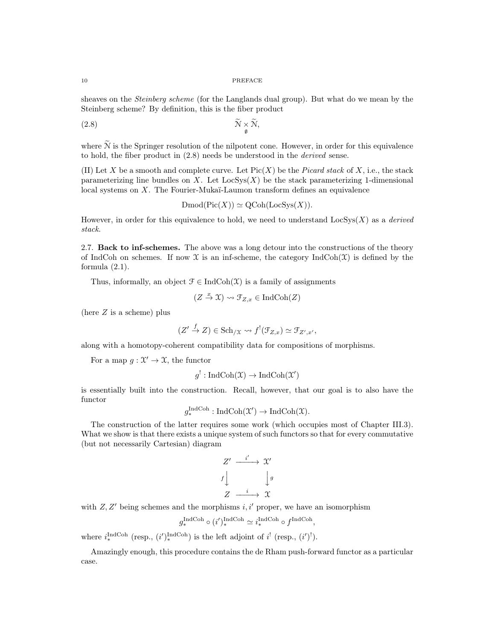sheaves on the Steinberg scheme (for the Langlands dual group). But what do we mean by the Steinberg scheme? By definition, this is the fiber product

$$
\mathcal{N} \times \mathcal{N},
$$
  $\mathcal{N} \times \mathcal{N},$ 

where  $\tilde{N}$  is the Springer resolution of the nilpotent cone. However, in order for this equivalence to hold, the fiber product in (2.8) needs be understood in the derived sense.

(II) Let X be a smooth and complete curve. Let  $Pic(X)$  be the *Picard stack* of X, i.e., the stack parameterizing line bundles on X. Let  $\text{LocSys}(X)$  be the stack parameterizing 1-dimensional local systems on X. The Fourier-Mukaï-Laumon transform defines an equivalence

 $\mathrm{Dmod}(\mathrm{Pic}(X)) \simeq \mathrm{QCoh}(\mathrm{LocSys}(X)).$ 

However, in order for this equivalence to hold, we need to understand  $\text{LocSys}(X)$  as a *derived* stack.

2.7. Back to inf-schemes. The above was a long detour into the constructions of the theory of IndCoh on schemes. If now  $\mathfrak X$  is an inf-scheme, the category IndCoh( $\mathfrak X$ ) is defined by the formula  $(2.1)$ .

Thus, informally, an object  $\mathcal{F} \in \text{IndCoh}(\mathcal{X})$  is a family of assignments

$$
(Z \stackrel{x}{\to} \mathfrak{X}) \rightsquigarrow \mathfrak{F}_{Z,x} \in \mathrm{IndCoh}(Z)
$$

(here  $Z$  is a scheme) plus

$$
(Z' \stackrel{f}{\to} Z) \in Sch_{/\mathfrak{X}} \leadsto f^{!}(\mathfrak{F}_{Z,x}) \simeq \mathfrak{F}_{Z',x'},
$$

along with a homotopy-coherent compatibility data for compositions of morphisms.

For a map  $g: \mathcal{X}' \to \mathcal{X}$ , the functor

$$
g^!: \operatorname{IndCoh}(\mathfrak{X}) \to \operatorname{IndCoh}(\mathfrak{X}')
$$

is essentially built into the construction. Recall, however, that our goal is to also have the functor

$$
g^{\text{IndCoh}}_{*}: \text{IndCoh}(\mathfrak{X}') \to \text{IndCoh}(\mathfrak{X}).
$$

The construction of the latter requires some work (which occupies most of Chapter III.3). What we show is that there exists a unique system of such functors so that for every commutative (but not necessarily Cartesian) diagram

$$
Z' \xrightarrow{i'} \mathcal{X}'
$$
  

$$
f \downarrow \qquad \qquad \downarrow g
$$
  

$$
Z \xrightarrow{i} \mathcal{X}
$$

with  $Z, Z'$  being schemes and the morphisms  $i, i'$  proper, we have an isomorphism

$$
g_*^{\text{IndCoh}} \circ (i')_*^{\text{IndCoh}} \simeq i_*^{\text{IndCoh}} \circ f^{\text{IndCoh}},
$$

where  $i_{*}^{\text{IndCoh}}$  (resp.,  $(i')_{*}^{\text{IndCoh}}$ ) is the left adjoint of  $i'$  (resp.,  $(i')$ <sup>!</sup>).

Amazingly enough, this procedure contains the de Rham push-forward functor as a particular case.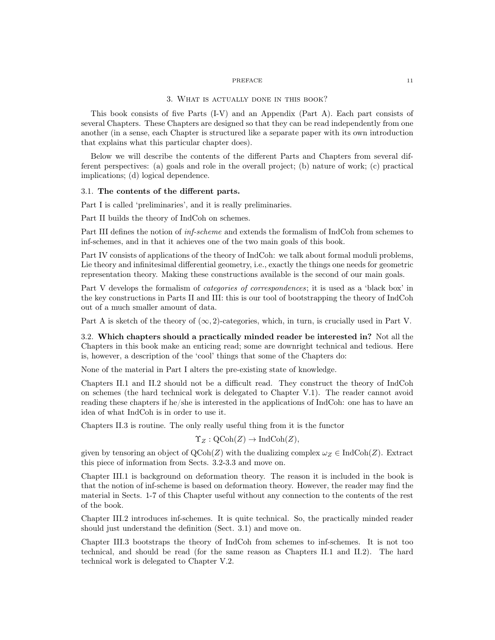### 3. What is actually done in this book?

This book consists of five Parts (I-V) and an Appendix (Part A). Each part consists of several Chapters. These Chapters are designed so that they can be read independently from one another (in a sense, each Chapter is structured like a separate paper with its own introduction that explains what this particular chapter does).

Below we will describe the contents of the different Parts and Chapters from several different perspectives: (a) goals and role in the overall project; (b) nature of work; (c) practical implications; (d) logical dependence.

## 3.1. The contents of the different parts.

Part I is called 'preliminaries', and it is really preliminaries.

Part II builds the theory of IndCoh on schemes.

Part III defines the notion of inf-scheme and extends the formalism of IndCoh from schemes to inf-schemes, and in that it achieves one of the two main goals of this book.

Part IV consists of applications of the theory of IndCoh: we talk about formal moduli problems, Lie theory and infinitesimal differential geometry, i.e., exactly the things one needs for geometric representation theory. Making these constructions available is the second of our main goals.

Part V develops the formalism of *categories of correspondences*; it is used as a 'black box' in the key constructions in Parts II and III: this is our tool of bootstrapping the theory of IndCoh out of a much smaller amount of data.

Part A is sketch of the theory of  $(\infty, 2)$ -categories, which, in turn, is crucially used in Part V.

3.2. Which chapters should a practically minded reader be interested in? Not all the Chapters in this book make an enticing read; some are downright technical and tedious. Here is, however, a description of the 'cool' things that some of the Chapters do:

None of the material in Part I alters the pre-existing state of knowledge.

Chapters II.1 and II.2 should not be a difficult read. They construct the theory of IndCoh on schemes (the hard technical work is delegated to Chapter V.1). The reader cannot avoid reading these chapters if he/she is interested in the applications of IndCoh: one has to have an idea of what IndCoh is in order to use it.

Chapters II.3 is routine. The only really useful thing from it is the functor

$$
\Upsilon_Z : \mathrm{QCoh}(Z) \to \mathrm{IndCoh}(Z),
$$

given by tensoring an object of  $\mathrm{QCoh}(Z)$  with the dualizing complex  $\omega_Z \in \mathrm{IndCoh}(Z)$ . Extract this piece of information from Sects. 3.2-3.3 and move on.

Chapter III.1 is background on deformation theory. The reason it is included in the book is that the notion of inf-scheme is based on deformation theory. However, the reader may find the material in Sects. 1-7 of this Chapter useful without any connection to the contents of the rest of the book.

Chapter III.2 introduces inf-schemes. It is quite technical. So, the practically minded reader should just understand the definition (Sect. 3.1) and move on.

Chapter III.3 bootstraps the theory of IndCoh from schemes to inf-schemes. It is not too technical, and should be read (for the same reason as Chapters II.1 and II.2). The hard technical work is delegated to Chapter V.2.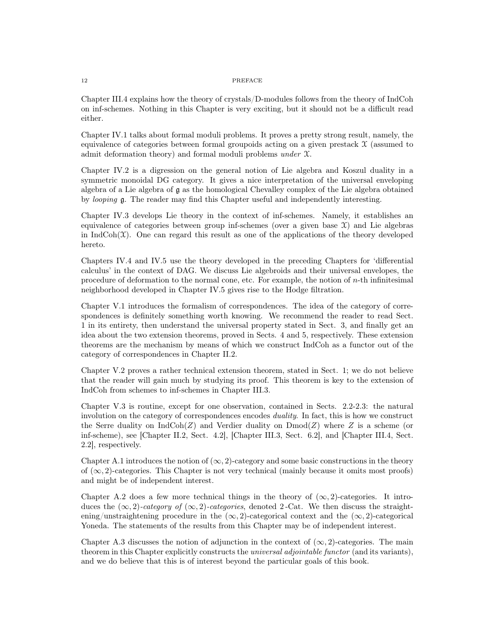Chapter III.4 explains how the theory of crystals/D-modules follows from the theory of IndCoh on inf-schemes. Nothing in this Chapter is very exciting, but it should not be a difficult read either.

Chapter IV.1 talks about formal moduli problems. It proves a pretty strong result, namely, the equivalence of categories between formal groupoids acting on a given prestack  $\mathcal X$  (assumed to admit deformation theory) and formal moduli problems under X.

Chapter IV.2 is a digression on the general notion of Lie algebra and Koszul duality in a symmetric monoidal DG category. It gives a nice interpretation of the universal enveloping algebra of a Lie algebra of g as the homological Chevalley complex of the Lie algebra obtained by looping g. The reader may find this Chapter useful and independently interesting.

Chapter IV.3 develops Lie theory in the context of inf-schemes. Namely, it establishes an equivalence of categories between group inf-schemes (over a given base  $\mathfrak{X}$ ) and Lie algebras in  $IndCoh(\mathfrak{X})$ . One can regard this result as one of the applications of the theory developed hereto.

Chapters IV.4 and IV.5 use the theory developed in the preceding Chapters for 'differential calculus' in the context of DAG. We discuss Lie algebroids and their universal envelopes, the procedure of deformation to the normal cone, etc. For example, the notion of n-th infinitesimal neighborhood developed in Chapter IV.5 gives rise to the Hodge filtration.

Chapter V.1 introduces the formalism of correspondences. The idea of the category of correspondences is definitely something worth knowing. We recommend the reader to read Sect. 1 in its entirety, then understand the universal property stated in Sect. 3, and finally get an idea about the two extension theorems, proved in Sects. 4 and 5, respectively. These extension theorems are the mechanism by means of which we construct IndCoh as a functor out of the category of correspondences in Chapter II.2.

Chapter V.2 proves a rather technical extension theorem, stated in Sect. 1; we do not believe that the reader will gain much by studying its proof. This theorem is key to the extension of IndCoh from schemes to inf-schemes in Chapter III.3.

Chapter V.3 is routine, except for one observation, contained in Sects. 2.2-2.3: the natural involution on the category of correspondences encodes duality. In fact, this is how we construct the Serre duality on  $\text{IndCoh}(Z)$  and Verdier duality on  $\text{Dmod}(Z)$  where Z is a scheme (or inf-scheme), see [Chapter II.2, Sect. 4.2], [Chapter III.3, Sect. 6.2], and [Chapter III.4, Sect. 2.2], respectively.

Chapter A.1 introduces the notion of  $(\infty, 2)$ -category and some basic constructions in the theory of  $(\infty, 2)$ -categories. This Chapter is not very technical (mainly because it omits most proofs) and might be of independent interest.

Chapter A.2 does a few more technical things in the theory of  $(\infty, 2)$ -categories. It introduces the  $(\infty, 2)$ -category of  $(\infty, 2)$ -categories, denoted 2-Cat. We then discuss the straightening/unstraightening procedure in the  $(\infty, 2)$ -categorical context and the  $(\infty, 2)$ -categorical Yoneda. The statements of the results from this Chapter may be of independent interest.

Chapter A.3 discusses the notion of adjunction in the context of  $(\infty, 2)$ -categories. The main theorem in this Chapter explicitly constructs the *universal adjointable functor* (and its variants), and we do believe that this is of interest beyond the particular goals of this book.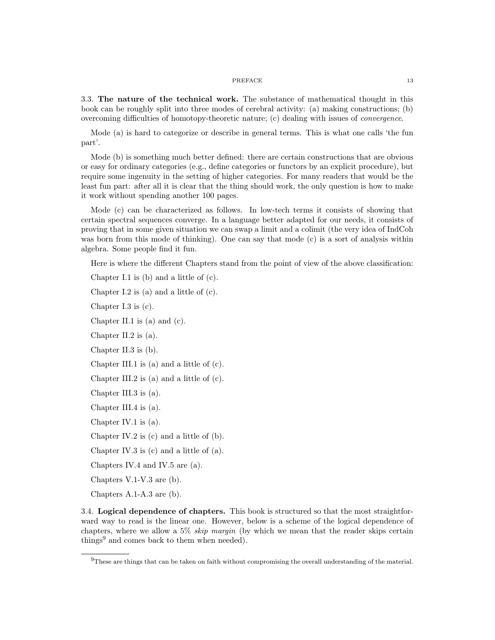3.3. The nature of the technical work. The substance of mathematical thought in this book can be roughly split into three modes of cerebral activity: (a) making constructions; (b) overcoming difficulties of homotopy-theoretic nature; (c) dealing with issues of convergence.

Mode (a) is hard to categorize or describe in general terms. This is what one calls 'the fun part'.

Mode (b) is something much better defined: there are certain constructions that are obvious or easy for ordinary categories (e.g., define categories or functors by an explicit procedure), but require some ingenuity in the setting of higher categories. For many readers that would be the least fun part: after all it is clear that the thing should work, the only question is how to make it work without spending another 100 pages.

Mode (c) can be characterized as follows. In low-tech terms it consists of showing that certain spectral sequences converge. In a language better adapted for our needs, it consists of proving that in some given situation we can swap a limit and a colimit (the very idea of IndCoh was born from this mode of thinking). One can say that mode (c) is a sort of analysis within algebra. Some people find it fun.

Here is where the different Chapters stand from the point of view of the above classification:

Chapter I.1 is (b) and a little of (c).

Chapter I.2 is (a) and a little of (c).

Chapter I.3 is (c).

Chapter II.1 is (a) and (c).

Chapter II.2 is (a).

Chapter II.3 is (b).

Chapter III.1 is (a) and a little of (c).

Chapter III.2 is (a) and a little of (c).

Chapter III.3 is (a).

Chapter III.4 is (a).

Chapter IV.1 is (a).

Chapter IV.2 is (c) and a little of (b).

Chapter IV.3 is (c) and a little of (a).

Chapters IV.4 and IV.5 are (a).

Chapters V.1-V.3 are (b).

Chapters A.1-A.3 are (b).

3.4. Logical dependence of chapters. This book is structured so that the most straightforward way to read is the linear one. However, below is a scheme of the logical dependence of chapters, where we allow a 5% *skip margin* (by which we mean that the reader skips certain things<sup>9</sup> and comes back to them when needed).

<sup>9</sup>These are things that can be taken on faith without compromising the overall understanding of the material.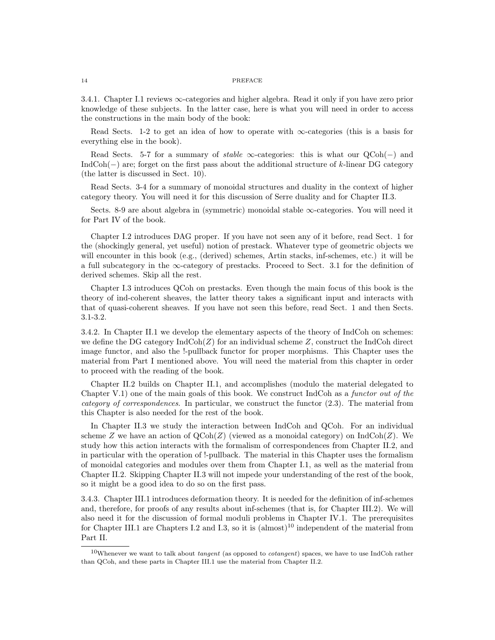3.4.1. Chapter I.1 reviews ∞-categories and higher algebra. Read it only if you have zero prior knowledge of these subjects. In the latter case, here is what you will need in order to access the constructions in the main body of the book:

Read Sects. 1-2 to get an idea of how to operate with  $\infty$ -categories (this is a basis for everything else in the book).

Read Sects. 5-7 for a summary of *stable*  $\infty$ -categories: this is what our  $QCoh(-)$  and IndCoh(−) are; forget on the first pass about the additional structure of k-linear DG category (the latter is discussed in Sect. 10).

Read Sects. 3-4 for a summary of monoidal structures and duality in the context of higher category theory. You will need it for this discussion of Serre duality and for Chapter II.3.

Sects. 8-9 are about algebra in (symmetric) monoidal stable  $\infty$ -categories. You will need it for Part IV of the book.

Chapter I.2 introduces DAG proper. If you have not seen any of it before, read Sect. 1 for the (shockingly general, yet useful) notion of prestack. Whatever type of geometric objects we will encounter in this book (e.g., (derived) schemes, Artin stacks, inf-schemes, etc.) it will be a full subcategory in the  $\infty$ -category of prestacks. Proceed to Sect. 3.1 for the definition of derived schemes. Skip all the rest.

Chapter I.3 introduces QCoh on prestacks. Even though the main focus of this book is the theory of ind-coherent sheaves, the latter theory takes a significant input and interacts with that of quasi-coherent sheaves. If you have not seen this before, read Sect. 1 and then Sects. 3.1-3.2.

3.4.2. In Chapter II.1 we develop the elementary aspects of the theory of IndCoh on schemes: we define the DG category  $\text{IndCoh}(Z)$  for an individual scheme Z, construct the IndCoh direct image functor, and also the !-pullback functor for proper morphisms. This Chapter uses the material from Part I mentioned above. You will need the material from this chapter in order to proceed with the reading of the book.

Chapter II.2 builds on Chapter II.1, and accomplishes (modulo the material delegated to Chapter V.1) one of the main goals of this book. We construct IndCoh as a functor out of the category of correspondences. In particular, we construct the functor (2.3). The material from this Chapter is also needed for the rest of the book.

In Chapter II.3 we study the interaction between IndCoh and QCoh. For an individual scheme Z we have an action of  $\text{QCoh}(Z)$  (viewed as a monoidal category) on IndCoh(Z). We study how this action interacts with the formalism of correspondences from Chapter II.2, and in particular with the operation of !-pullback. The material in this Chapter uses the formalism of monoidal categories and modules over them from Chapter I.1, as well as the material from Chapter II.2. Skipping Chapter II.3 will not impede your understanding of the rest of the book, so it might be a good idea to do so on the first pass.

3.4.3. Chapter III.1 introduces deformation theory. It is needed for the definition of inf-schemes and, therefore, for proofs of any results about inf-schemes (that is, for Chapter III.2). We will also need it for the discussion of formal moduli problems in Chapter IV.1. The prerequisites for Chapter III.1 are Chapters I.2 and I.3, so it is (almost)<sup>10</sup> independent of the material from Part II.

 $10$ Whenever we want to talk about *tangent* (as opposed to *cotangent*) spaces, we have to use IndCoh rather than QCoh, and these parts in Chapter III.1 use the material from Chapter II.2.